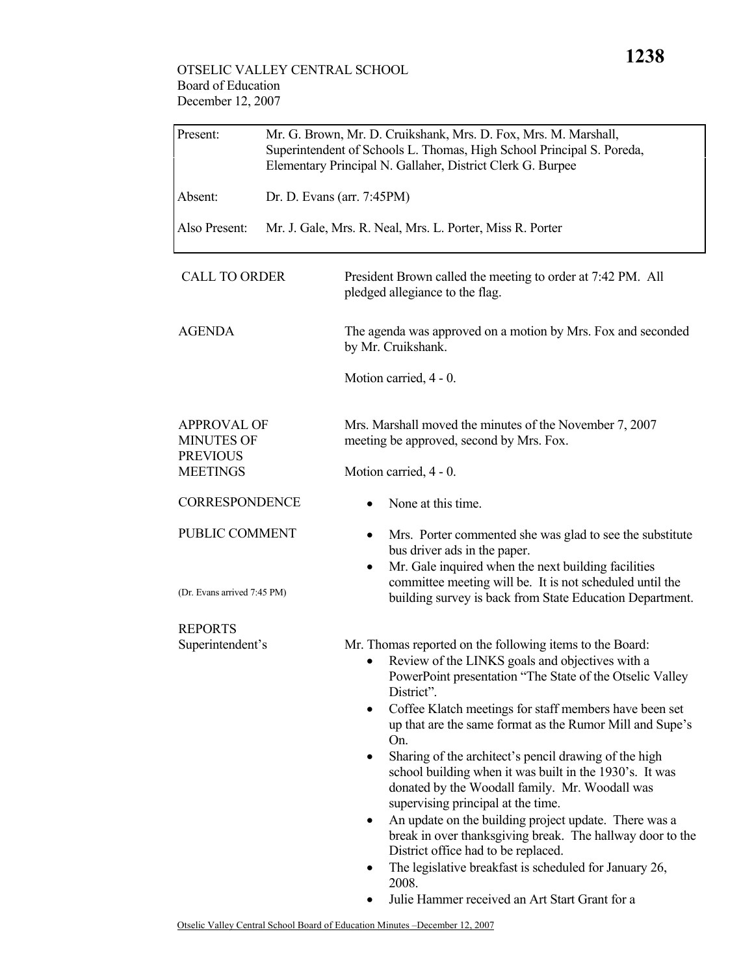## OTSELIC VALLEY CENTRAL SCHOOL Board of Education December 12, 2007

| Mr. G. Brown, Mr. D. Cruikshank, Mrs. D. Fox, Mrs. M. Marshall,<br>Superintendent of Schools L. Thomas, High School Principal S. Poreda,<br>Elementary Principal N. Gallaher, District Clerk G. Burpee |                                                                                                                                                                                                                                                                                                                                                                                                                                                                                                                                                                                                                                                                                                                                                                                                                            |  |
|--------------------------------------------------------------------------------------------------------------------------------------------------------------------------------------------------------|----------------------------------------------------------------------------------------------------------------------------------------------------------------------------------------------------------------------------------------------------------------------------------------------------------------------------------------------------------------------------------------------------------------------------------------------------------------------------------------------------------------------------------------------------------------------------------------------------------------------------------------------------------------------------------------------------------------------------------------------------------------------------------------------------------------------------|--|
| Dr. D. Evans (arr. 7:45PM)                                                                                                                                                                             |                                                                                                                                                                                                                                                                                                                                                                                                                                                                                                                                                                                                                                                                                                                                                                                                                            |  |
|                                                                                                                                                                                                        | Mr. J. Gale, Mrs. R. Neal, Mrs. L. Porter, Miss R. Porter                                                                                                                                                                                                                                                                                                                                                                                                                                                                                                                                                                                                                                                                                                                                                                  |  |
|                                                                                                                                                                                                        | President Brown called the meeting to order at 7:42 PM. All<br>pledged allegiance to the flag.                                                                                                                                                                                                                                                                                                                                                                                                                                                                                                                                                                                                                                                                                                                             |  |
|                                                                                                                                                                                                        | The agenda was approved on a motion by Mrs. Fox and seconded<br>by Mr. Cruikshank.                                                                                                                                                                                                                                                                                                                                                                                                                                                                                                                                                                                                                                                                                                                                         |  |
|                                                                                                                                                                                                        | Motion carried, 4 - 0.                                                                                                                                                                                                                                                                                                                                                                                                                                                                                                                                                                                                                                                                                                                                                                                                     |  |
|                                                                                                                                                                                                        | Mrs. Marshall moved the minutes of the November 7, 2007<br>meeting be approved, second by Mrs. Fox.                                                                                                                                                                                                                                                                                                                                                                                                                                                                                                                                                                                                                                                                                                                        |  |
|                                                                                                                                                                                                        | Motion carried, 4 - 0.                                                                                                                                                                                                                                                                                                                                                                                                                                                                                                                                                                                                                                                                                                                                                                                                     |  |
|                                                                                                                                                                                                        | None at this time.                                                                                                                                                                                                                                                                                                                                                                                                                                                                                                                                                                                                                                                                                                                                                                                                         |  |
|                                                                                                                                                                                                        | Mrs. Porter commented she was glad to see the substitute<br>bus driver ads in the paper.<br>Mr. Gale inquired when the next building facilities                                                                                                                                                                                                                                                                                                                                                                                                                                                                                                                                                                                                                                                                            |  |
|                                                                                                                                                                                                        | committee meeting will be. It is not scheduled until the<br>building survey is back from State Education Department.                                                                                                                                                                                                                                                                                                                                                                                                                                                                                                                                                                                                                                                                                                       |  |
|                                                                                                                                                                                                        |                                                                                                                                                                                                                                                                                                                                                                                                                                                                                                                                                                                                                                                                                                                                                                                                                            |  |
|                                                                                                                                                                                                        | Mr. Thomas reported on the following items to the Board:<br>Review of the LINKS goals and objectives with a<br>PowerPoint presentation "The State of the Otselic Valley<br>District".<br>Coffee Klatch meetings for staff members have been set<br>٠<br>up that are the same format as the Rumor Mill and Supe's<br>On.<br>Sharing of the architect's pencil drawing of the high<br>school building when it was built in the 1930's. It was<br>donated by the Woodall family. Mr. Woodall was<br>supervising principal at the time.<br>An update on the building project update. There was a<br>٠<br>break in over thanksgiving break. The hallway door to the<br>District office had to be replaced.<br>The legislative breakfast is scheduled for January 26,<br>2008.<br>Julie Hammer received an Art Start Grant for a |  |
|                                                                                                                                                                                                        | <b>CALL TO ORDER</b><br><b>APPROVAL OF</b><br><b>CORRESPONDENCE</b><br>PUBLIC COMMENT<br>(Dr. Evans arrived 7:45 PM)<br>Superintendent's                                                                                                                                                                                                                                                                                                                                                                                                                                                                                                                                                                                                                                                                                   |  |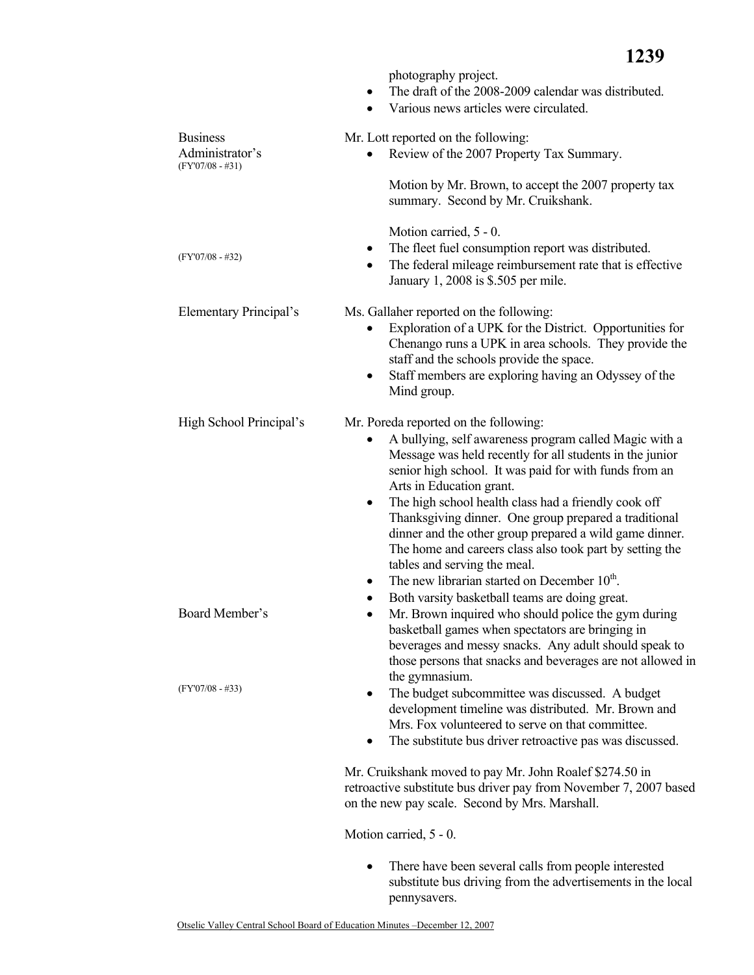|                                                          | photography project.<br>The draft of the 2008-2009 calendar was distributed.<br>$\bullet$<br>Various news articles were circulated.<br>$\bullet$                                                                                                                                                                                                                                                                                                                                                                                                                                                                                                               |
|----------------------------------------------------------|----------------------------------------------------------------------------------------------------------------------------------------------------------------------------------------------------------------------------------------------------------------------------------------------------------------------------------------------------------------------------------------------------------------------------------------------------------------------------------------------------------------------------------------------------------------------------------------------------------------------------------------------------------------|
| <b>Business</b><br>Administrator's<br>$(FY'07/08 - #31)$ | Mr. Lott reported on the following:<br>Review of the 2007 Property Tax Summary.                                                                                                                                                                                                                                                                                                                                                                                                                                                                                                                                                                                |
|                                                          | Motion by Mr. Brown, to accept the 2007 property tax<br>summary. Second by Mr. Cruikshank.                                                                                                                                                                                                                                                                                                                                                                                                                                                                                                                                                                     |
| $(FY'07/08 - #32)$                                       | Motion carried, 5 - 0.<br>The fleet fuel consumption report was distributed.<br>The federal mileage reimbursement rate that is effective<br>January 1, 2008 is \$.505 per mile.                                                                                                                                                                                                                                                                                                                                                                                                                                                                                |
| <b>Elementary Principal's</b>                            | Ms. Gallaher reported on the following:<br>Exploration of a UPK for the District. Opportunities for<br>Chenango runs a UPK in area schools. They provide the<br>staff and the schools provide the space.<br>Staff members are exploring having an Odyssey of the<br>٠<br>Mind group.                                                                                                                                                                                                                                                                                                                                                                           |
| High School Principal's                                  | Mr. Poreda reported on the following:<br>A bullying, self awareness program called Magic with a<br>Message was held recently for all students in the junior<br>senior high school. It was paid for with funds from an<br>Arts in Education grant.<br>The high school health class had a friendly cook off<br>٠<br>Thanksgiving dinner. One group prepared a traditional<br>dinner and the other group prepared a wild game dinner.<br>The home and careers class also took part by setting the<br>tables and serving the meal.<br>The new librarian started on December 10 <sup>th</sup> .<br>$\bullet$<br>Both varsity basketball teams are doing great.<br>٠ |
| Board Member's                                           | Mr. Brown inquired who should police the gym during<br>basketball games when spectators are bringing in<br>beverages and messy snacks. Any adult should speak to<br>those persons that snacks and beverages are not allowed in<br>the gymnasium.                                                                                                                                                                                                                                                                                                                                                                                                               |
| $(FY'07/08 - #33)$                                       | The budget subcommittee was discussed. A budget<br>development timeline was distributed. Mr. Brown and<br>Mrs. Fox volunteered to serve on that committee.<br>The substitute bus driver retroactive pas was discussed.                                                                                                                                                                                                                                                                                                                                                                                                                                         |
|                                                          | Mr. Cruikshank moved to pay Mr. John Roalef \$274.50 in<br>retroactive substitute bus driver pay from November 7, 2007 based<br>on the new pay scale. Second by Mrs. Marshall.                                                                                                                                                                                                                                                                                                                                                                                                                                                                                 |
|                                                          | Motion carried, 5 - 0.                                                                                                                                                                                                                                                                                                                                                                                                                                                                                                                                                                                                                                         |

• There have been several calls from people interested substitute bus driving from the advertisements in the local pennysavers.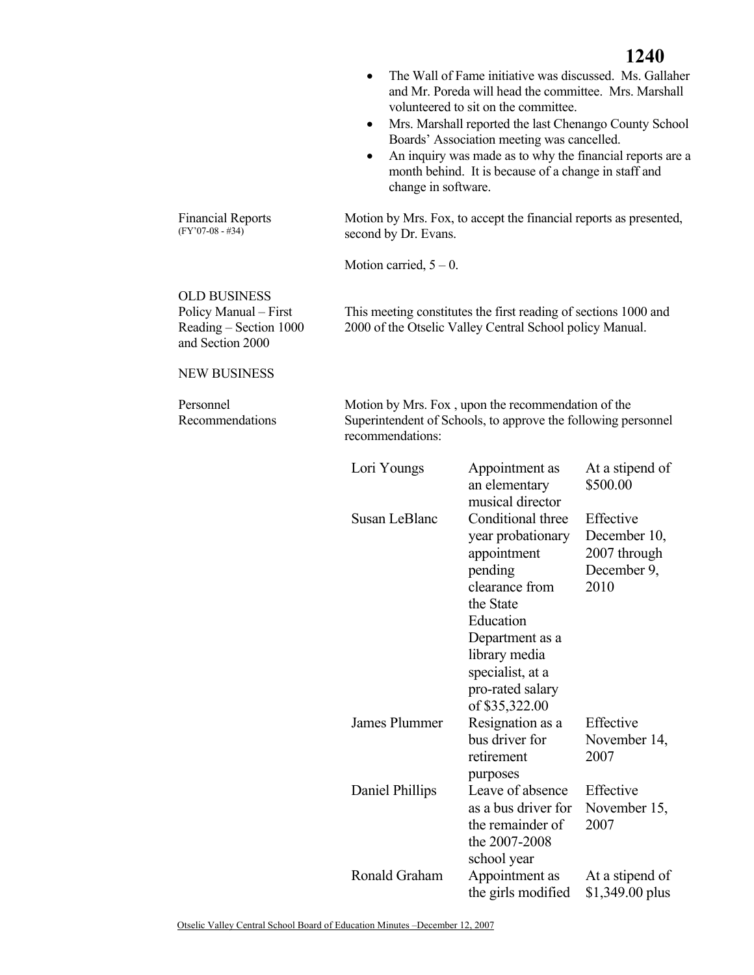|                                                                                            | $\bullet$<br>٠<br>٠<br>change in software.                                                                                              | The Wall of Fame initiative was discussed. Ms. Gallaher<br>and Mr. Poreda will head the committee. Mrs. Marshall<br>volunteered to sit on the committee.<br>Mrs. Marshall reported the last Chenango County School<br>Boards' Association meeting was cancelled.<br>An inquiry was made as to why the financial reports are a<br>month behind. It is because of a change in staff and |                                                                                                 |
|--------------------------------------------------------------------------------------------|-----------------------------------------------------------------------------------------------------------------------------------------|---------------------------------------------------------------------------------------------------------------------------------------------------------------------------------------------------------------------------------------------------------------------------------------------------------------------------------------------------------------------------------------|-------------------------------------------------------------------------------------------------|
| <b>Financial Reports</b><br>$(FY'07-08 - #34)$                                             | second by Dr. Evans.                                                                                                                    | Motion by Mrs. Fox, to accept the financial reports as presented,                                                                                                                                                                                                                                                                                                                     |                                                                                                 |
|                                                                                            | Motion carried, $5 - 0$ .                                                                                                               |                                                                                                                                                                                                                                                                                                                                                                                       |                                                                                                 |
| <b>OLD BUSINESS</b><br>Policy Manual - First<br>Reading – Section 1000<br>and Section 2000 |                                                                                                                                         | This meeting constitutes the first reading of sections 1000 and<br>2000 of the Otselic Valley Central School policy Manual.                                                                                                                                                                                                                                                           |                                                                                                 |
| <b>NEW BUSINESS</b>                                                                        |                                                                                                                                         |                                                                                                                                                                                                                                                                                                                                                                                       |                                                                                                 |
| Personnel<br>Recommendations                                                               | Motion by Mrs. Fox, upon the recommendation of the<br>Superintendent of Schools, to approve the following personnel<br>recommendations: |                                                                                                                                                                                                                                                                                                                                                                                       |                                                                                                 |
|                                                                                            | Lori Youngs<br>Susan LeBlanc                                                                                                            | Appointment as<br>an elementary<br>musical director<br>Conditional three<br>year probationary<br>appointment<br>pending<br>clearance from<br>the State<br>Education<br>Department as a                                                                                                                                                                                                | At a stipend of<br>\$500.00<br>Effective<br>December 10,<br>2007 through<br>December 9,<br>2010 |
|                                                                                            |                                                                                                                                         | library media<br>specialist, at a<br>pro-rated salary<br>of \$35,322.00                                                                                                                                                                                                                                                                                                               |                                                                                                 |
|                                                                                            | James Plummer                                                                                                                           | Resignation as a<br>bus driver for<br>retirement<br>purposes                                                                                                                                                                                                                                                                                                                          | Effective<br>November 14,<br>2007                                                               |
|                                                                                            | Daniel Phillips                                                                                                                         | Leave of absence<br>as a bus driver for<br>the remainder of<br>the 2007-2008<br>school year                                                                                                                                                                                                                                                                                           | Effective<br>November 15,<br>2007                                                               |
|                                                                                            | Ronald Graham                                                                                                                           | Appointment as<br>the girls modified                                                                                                                                                                                                                                                                                                                                                  | At a stipend of<br>$$1,349.00$ plus                                                             |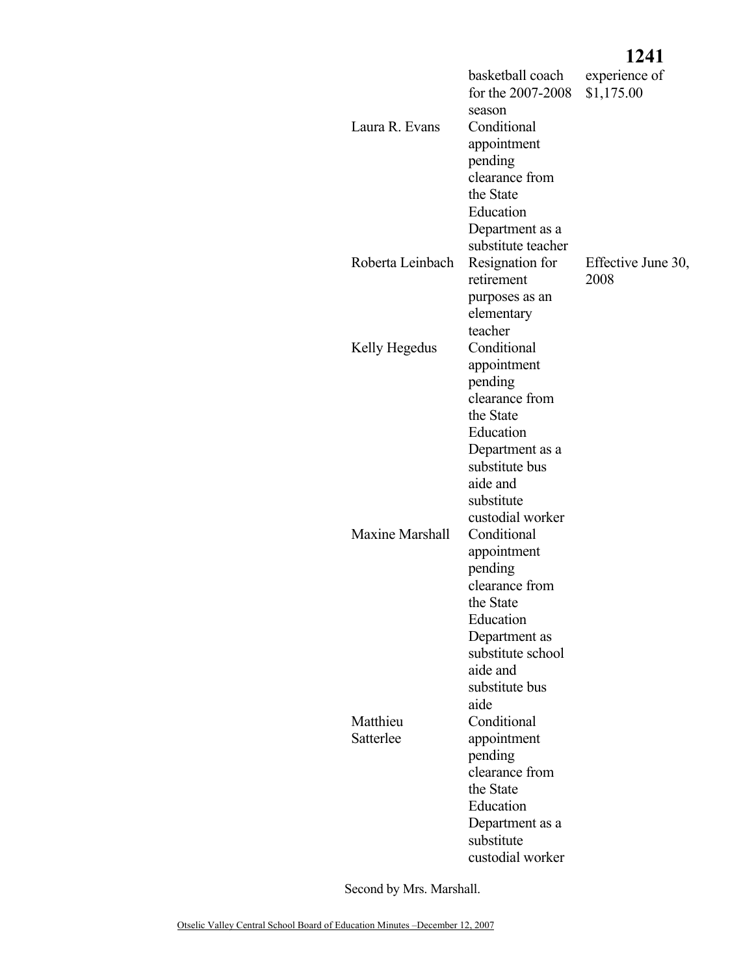## **1241**

| Laura R. Evans         | basketball coach<br>for the 2007-2008<br>season<br>Conditional<br>appointment<br>pending<br>clearance from<br>the State<br>Education<br>Department as a                           | experience of<br>\$1,175.00 |
|------------------------|-----------------------------------------------------------------------------------------------------------------------------------------------------------------------------------|-----------------------------|
| Roberta Leinbach       | substitute teacher<br>Resignation for<br>retirement<br>purposes as an<br>elementary<br>teacher                                                                                    | Effective June 30,<br>2008  |
| Kelly Hegedus          | Conditional<br>appointment<br>pending<br>clearance from<br>the State<br>Education<br>Department as a<br>substitute bus<br>aide and<br>substitute                                  |                             |
| <b>Maxine Marshall</b> | custodial worker<br>Conditional<br>appointment<br>pending<br>clearance from<br>the State<br>Education<br>Department as<br>substitute school<br>aide and<br>substitute bus<br>aide |                             |
| Matthieu<br>Satterlee  | Conditional<br>appointment<br>pending<br>clearance from<br>the State<br>Education<br>Department as a<br>substitute<br>custodial worker                                            |                             |

Second by Mrs. Marshall.